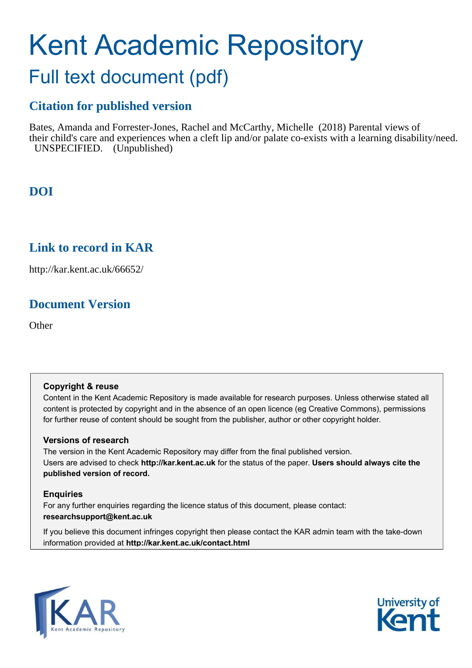# Kent Academic Repository

## Full text document (pdf)

## **Citation for published version**

Bates, Amanda and Forrester-Jones, Rachel and McCarthy, Michelle (2018) Parental views of their child's care and experiences when a cleft lip and/or palate co-exists with a learning disability/need. UNSPECIFIED. (Unpublished)

## **DOI**

## **Link to record in KAR**

http://kar.kent.ac.uk/66652/

## **Document Version**

**Other** 

#### **Copyright & reuse**

Content in the Kent Academic Repository is made available for research purposes. Unless otherwise stated all content is protected by copyright and in the absence of an open licence (eg Creative Commons), permissions for further reuse of content should be sought from the publisher, author or other copyright holder.

#### **Versions of research**

The version in the Kent Academic Repository may differ from the final published version. Users are advised to check **http://kar.kent.ac.uk** for the status of the paper. **Users should always cite the published version of record.**

#### **Enquiries**

For any further enquiries regarding the licence status of this document, please contact: **researchsupport@kent.ac.uk**

If you believe this document infringes copyright then please contact the KAR admin team with the take-down information provided at **http://kar.kent.ac.uk/contact.html**



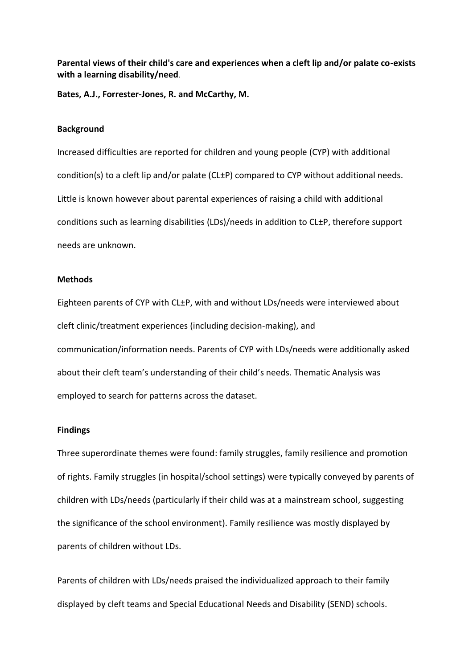**Parental views of their child's care and experiences when a cleft lip and/or palate co-exists with a learning disability/need**.

**Bates, A.J., Forrester-Jones, R. and McCarthy, M.** 

#### **Background**

Increased difficulties are reported for children and young people (CYP) with additional condition(s) to a cleft lip and/or palate (CL±P) compared to CYP without additional needs. Little is known however about parental experiences of raising a child with additional conditions such as learning disabilities (LDs)/needs in addition to CL±P, therefore support needs are unknown.

#### **Methods**

Eighteen parents of CYP with CL±P, with and without LDs/needs were interviewed about cleft clinic/treatment experiences (including decision-making), and communication/information needs. Parents of CYP with LDs/needs were additionally asked about their cleft team's understanding of their child's needs. Thematic Analysis was employed to search for patterns across the dataset.

#### **Findings**

Three superordinate themes were found: family struggles, family resilience and promotion of rights. Family struggles (in hospital/school settings) were typically conveyed by parents of children with LDs/needs (particularly if their child was at a mainstream school, suggesting the significance of the school environment). Family resilience was mostly displayed by parents of children without LDs.

Parents of children with LDs/needs praised the individualized approach to their family displayed by cleft teams and Special Educational Needs and Disability (SEND) schools.